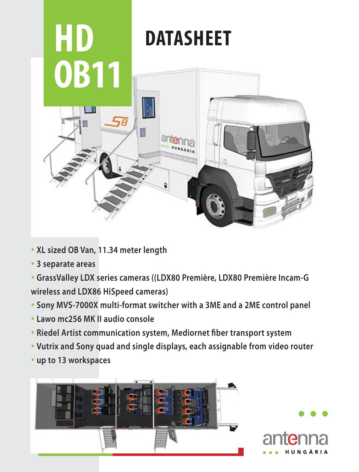

- **XL sized OB Van, 11.34 meter length**
- **3 separate areas**
- **GrassValley LDX series cameras ((LDX80 Première, LDX80 Première Incam-G wireless and LDX86 HiSpeed cameras)**
- **Sony MVS-7000X multi-format switcher with a 3ME and a 2ME control panel**
- **Lawo mc256 MK II audio console**
- **Riedel Artist communication system, Mediornet fiber transport system**
- **Vutrix and Sony quad and single displays, each assignable from video router**
- **up to 13 workspaces**